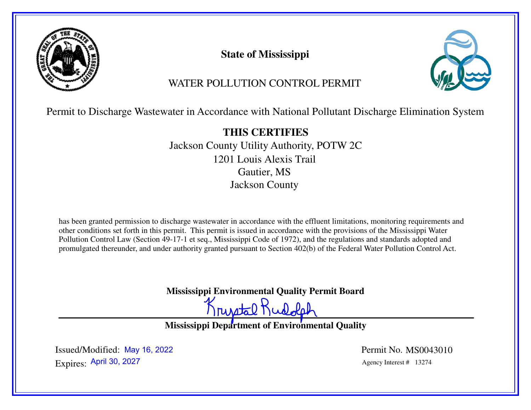

**State of Mississippi**



# WATER POLLUTION CONTROL PERMIT

Permit to Discharge Wastewater in Accordance with National Pollutant Discharge Elimination System

**THIS CERTIFIES** Jackson County Utility Authority, POTW 2C1201 Louis Alexis TrailGautier, MSJackson County

has been granted permission to discharge wastewater in accordance with the effluent limitations, monitoring requirements and other conditions set forth in this permit. This permit is issued in accordance with the provisions of the Mississippi Water Pollution Control Law (Section 49-17-1 et seq., Mississippi Code of 1972), and the regulations and standards adopted and promulgated thereunder, and under authority granted pursuant to Section 402(b) of the Federal Water Pollution Control Act.

**Mississippi Environmental Quality Permit Board**

Krustal Rudolph

**Mississippi Department of Environmental Quality** 

Expires: Agency Interest # 13274 April 30, 2027Issued/Modified: May 16, 2022

Permit No. MS0043010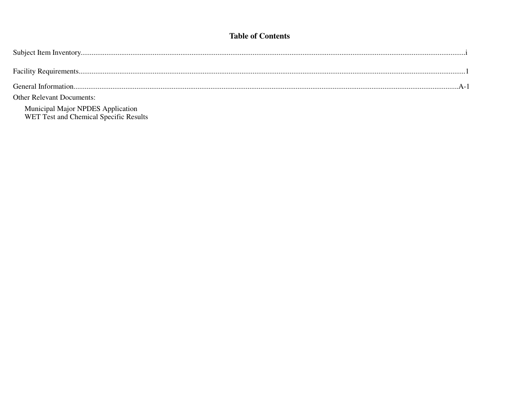## **Table of Contents**

| <b>Other Relevant Documents:</b>                                            |
|-----------------------------------------------------------------------------|
| Municipal Major NPDES Application<br>WET Test and Chemical Specific Results |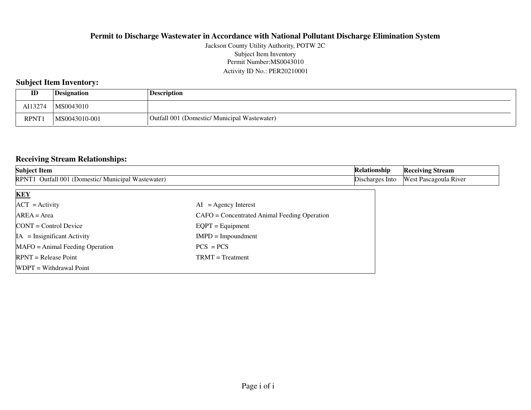#### Permit Number:MS0043010 Activity ID No.: PER20210001Jackson County Utility Authority, POTW 2CSubject Item Inventory

## **Subject Item Inventory:**

| ID          | Designation   | <b>Description</b>                           |
|-------------|---------------|----------------------------------------------|
| AI13274     | MS0043010     |                                              |
| <b>RPNT</b> | MS0043010-001 | Outfall 001 (Domestic/ Municipal Wastewater) |

### **Receiving Stream Relationships:**

| <b>Subject Item</b>                                |                                              | Relationship    | <b>Receiving Stream</b>      |
|----------------------------------------------------|----------------------------------------------|-----------------|------------------------------|
| RPNT1 Outfall 001 (Domestic/ Municipal Wastewater) |                                              | Discharges Into | <b>West Pascagoula River</b> |
| <b>KEY</b>                                         |                                              |                 |                              |
| $ACT = Activity$                                   | $AI = Agency Interest$                       |                 |                              |
| $AREA = Area$                                      | CAFO = Concentrated Animal Feeding Operation |                 |                              |
| $CONT = Control$ Device                            | $EQPT = Equipment$                           |                 |                              |
| $IA = Insignificant Activity$                      | $IMPD = Important$                           |                 |                              |
| $MAFO = Animal Feeding Operation$                  | $PCS = PCs$                                  |                 |                              |
| $RPNT = Release Point$                             | $TRMT = Treatment$                           |                 |                              |
| WDPT = Withdrawal Point                            |                                              |                 |                              |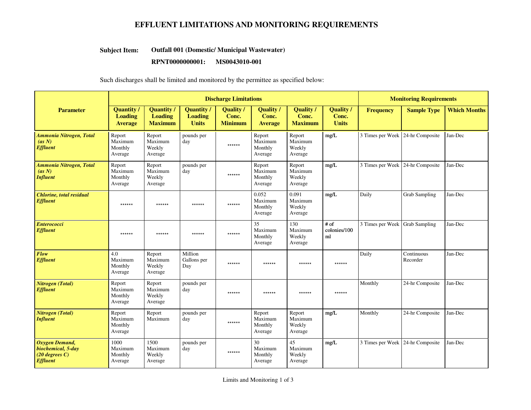## **EFFLUENT LIMITATIONS AND MONITORING REQUIREMENTS**

#### **Outfall 001 (Domestic/ Municipal Wastewater)Subject Item:**

#### **RPNT0000000001: MS0043010-001**

#### Such discharges shall be limited and monitored by the permittee as specified below:

|                                                                             | <b>Discharge Limitations</b>                          |                                                       |                                                     |                                      |                                           |                                           | <b>Monitoring Requirements</b>            |                                  |                        |                     |
|-----------------------------------------------------------------------------|-------------------------------------------------------|-------------------------------------------------------|-----------------------------------------------------|--------------------------------------|-------------------------------------------|-------------------------------------------|-------------------------------------------|----------------------------------|------------------------|---------------------|
| <b>Parameter</b>                                                            | <b>Quantity /</b><br><b>Loading</b><br><b>Average</b> | <b>Quantity</b> /<br><b>Loading</b><br><b>Maximum</b> | <b>Quantity</b> /<br><b>Loading</b><br><b>Units</b> | Quality /<br>Conc.<br><b>Minimum</b> | <b>Quality</b><br>Conc.<br><b>Average</b> | <b>Quality</b><br>Conc.<br><b>Maximum</b> | <b>Quality</b> /<br>Conc.<br><b>Units</b> | <b>Frequency</b>                 | <b>Sample Type</b>     | <b>Which Months</b> |
| Ammonia Nitrogen, Total<br>(as N)<br><b>Effluent</b>                        | Report<br>Maximum<br>Monthly<br>Average               | Report<br>Maximum<br>Weekly<br>Average                | pounds per<br>day                                   | ******                               | Report<br>Maximum<br>Monthly<br>Average   | Report<br>Maximum<br>Weekly<br>Average    | mg/L                                      | 3 Times per Week 24-hr Composite |                        | Jan-Dec             |
| Ammonia Nitrogen, Total<br>(as N)<br><b>Influent</b>                        | Report<br>Maximum<br>Monthly<br>Average               | Report<br>Maximum<br>Weekly<br>Average                | pounds per<br>day                                   | ******                               | Report<br>Maximum<br>Monthly<br>Average   | Report<br>Maximum<br>Weekly<br>Average    | mg/L                                      | 3 Times per Week 24-hr Composite |                        | Jan-Dec             |
| <b>Chlorine</b> , total residual<br><b>Effluent</b>                         | ******                                                | ******                                                | ******                                              | ******                               | 0.052<br>Maximum<br>Monthly<br>Average    | 0.091<br>Maximum<br>Weekly<br>Average     | mg/L                                      | Daily                            | <b>Grab Sampling</b>   | Jan-Dec             |
| <b>Enterococci</b><br><b>Effluent</b>                                       | ******                                                | ******                                                | ******                                              | ******                               | 35<br>Maximum<br>Monthly<br>Average       | 130<br>Maximum<br>Weekly<br>Average       | $#$ of<br>colonies/100<br>ml              | 3 Times per Week Grab Sampling   |                        | Jan-Dec             |
| <b>Flow</b><br><b>Effluent</b>                                              | 4.0<br>Maximum<br>Monthly<br>Average                  | Report<br>Maximum<br>Weekly<br>Average                | Million<br>Gallons per<br>Day                       | ******                               | ******                                    | ******                                    | ******                                    | Daily                            | Continuous<br>Recorder | Jan-Dec             |
| <b>Nitrogen</b> (Total)<br><b>Effluent</b>                                  | Report<br>Maximum<br>Monthly<br>Average               | Report<br>Maximum<br>Weekly<br>Average                | pounds per<br>day                                   | ******                               | ******                                    | ******                                    | ******                                    | Monthly                          | 24-hr Composite        | Jan-Dec             |
| Nitrogen (Total)<br><b>Influent</b>                                         | Report<br>Maximum<br>Monthly<br>Average               | Report<br>Maximum                                     | pounds per<br>day                                   | ******                               | Report<br>Maximum<br>Monthly<br>Average   | Report<br>Maximum<br>Weekly<br>Average    | mg/L                                      | Monthly                          | 24-hr Composite        | Jan-Dec             |
| Oxygen Demand,<br>biochemical, 5-day<br>$(20$ degrees C)<br><b>Effluent</b> | 1000<br>Maximum<br>Monthly<br>Average                 | 1500<br>Maximum<br>Weekly<br>Average                  | pounds per<br>day                                   | ******                               | 30<br>Maximum<br>Monthly<br>Average       | 45<br>Maximum<br>Weekly<br>Average        | mg/L                                      | 3 Times per Week 24-hr Composite |                        | Jan-Dec             |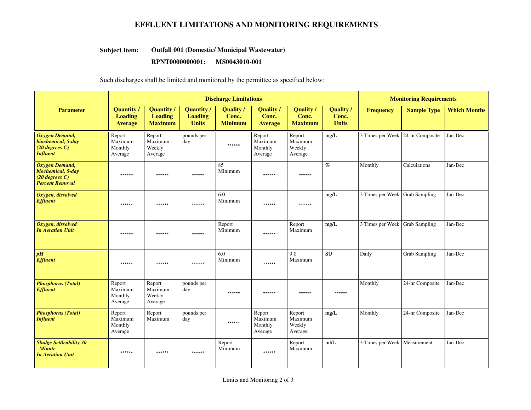## **EFFLUENT LIMITATIONS AND MONITORING REQUIREMENTS**

#### **Outfall 001 (Domestic/ Municipal Wastewater)Subject Item:**

#### **RPNT0000000001: MS0043010-001**

#### Such discharges shall be limited and monitored by the permittee as specified below:

|                                                                                    | <b>Discharge Limitations</b>                          |                                                       |                                                     |                                             |                                           | <b>Monitoring Requirements</b>            |                                           |                                  |                      |                     |
|------------------------------------------------------------------------------------|-------------------------------------------------------|-------------------------------------------------------|-----------------------------------------------------|---------------------------------------------|-------------------------------------------|-------------------------------------------|-------------------------------------------|----------------------------------|----------------------|---------------------|
| <b>Parameter</b>                                                                   | <b>Quantity /</b><br><b>Loading</b><br><b>Average</b> | <b>Quantity /</b><br><b>Loading</b><br><b>Maximum</b> | <b>Quantity</b> /<br><b>Loading</b><br><b>Units</b> | <b>Quality</b> /<br>Conc.<br><b>Minimum</b> | <b>Quality</b><br>Conc.<br><b>Average</b> | <b>Quality</b><br>Conc.<br><b>Maximum</b> | <b>Quality</b> /<br>Conc.<br><b>Units</b> | <b>Frequency</b>                 | <b>Sample Type</b>   | <b>Which Months</b> |
| <b>Oxygen Demand,</b><br>biochemical, 5-day<br>$(20$ degrees C)<br><b>Influent</b> | Report<br>Maximum<br>Monthly<br>Average               | Report<br>Maximum<br>Weekly<br>Average                | pounds per<br>day                                   | ******                                      | Report<br>Maximum<br>Monthly<br>Average   | Report<br>Maximum<br>Weekly<br>Average    | mg/L                                      | 3 Times per Week 24-hr Composite |                      | Jan-Dec             |
| Oxygen Demand,<br>biochemical, 5-day<br>$(20$ degrees C)<br><b>Percent Removal</b> | ******                                                | ******                                                | ******                                              | 85<br>Minimum                               | ******                                    | ******                                    | $\%$                                      | Monthly                          | Calculations         | Jan-Dec             |
| Oxygen, dissolved<br><b>Effluent</b>                                               | ******                                                | ******                                                | ******                                              | 6.0<br>Minimum                              | ******                                    | ******                                    | mg/L                                      | 3 Times per Week                 | <b>Grab Sampling</b> | Jan-Dec             |
| Oxygen, dissolved<br><b>In Aeration Unit</b>                                       | ******                                                | ******                                                | ******                                              | Report<br>Minimum                           | ******                                    | Report<br>Maximum                         | mg/L                                      | 3 Times per Week Grab Sampling   |                      | Jan-Dec             |
| pH<br><b>Effluent</b>                                                              | ******                                                | ******                                                | ******                                              | 6.0<br>Minimum                              | ******                                    | 9.0<br>Maximum                            | <b>SU</b>                                 | Daily                            | <b>Grab Sampling</b> | Jan-Dec             |
| <b>Phosphorus (Total)</b><br><b>Effluent</b>                                       | Report<br>Maximum<br>Monthly<br>Average               | Report<br>Maximum<br>Weekly<br>Average                | pounds per<br>day                                   | ******                                      | ******                                    | ******                                    | ******                                    | Monthly                          | 24-hr Composite      | Jan-Dec             |
| <b>Phosphorus (Total)</b><br><b>Influent</b>                                       | Report<br>Maximum<br>Monthly<br>Average               | Report<br>Maximum                                     | pounds per<br>day                                   | ******                                      | Report<br>Maximum<br>Monthly<br>Average   | Report<br>Maximum<br>Weekly<br>Average    | mg/L                                      | Monthly                          | 24-hr Composite      | Jan-Dec             |
| <b>Sludge Settleability 30</b><br><b>Minute</b><br><b>In Aeration Unit</b>         | ******                                                | ******                                                | ******                                              | Report<br>Minimum                           | ******                                    | Report<br>Maximum                         | mI/L                                      | 3 Times per Week                 | Measurement          | Jan-Dec             |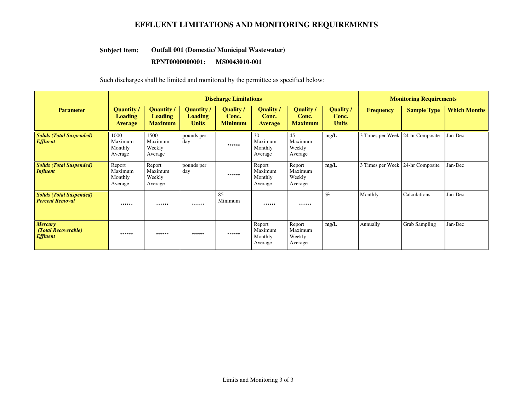## **EFFLUENT LIMITATIONS AND MONITORING REQUIREMENTS**

#### **Outfall 001 (Domestic/ Municipal Wastewater)Subject Item:**

#### **RPNT0000000001: MS0043010-001**

Such discharges shall be limited and monitored by the permittee as specified below:

|                                                           | <b>Discharge Limitations</b>                   |                                                       |                                             |                                     |                                             |                                             |                                    |                                  | <b>Monitoring Requirements</b> |                     |  |
|-----------------------------------------------------------|------------------------------------------------|-------------------------------------------------------|---------------------------------------------|-------------------------------------|---------------------------------------------|---------------------------------------------|------------------------------------|----------------------------------|--------------------------------|---------------------|--|
| <b>Parameter</b>                                          | Quantity /<br><b>Loading</b><br><b>Average</b> | <b>Quantity</b> /<br><b>Loading</b><br><b>Maximum</b> | Quantity/<br><b>Loading</b><br><b>Units</b> | Quality/<br>Conc.<br><b>Minimum</b> | <b>Quality</b> /<br>Conc.<br><b>Average</b> | <b>Quality</b> /<br>Conc.<br><b>Maximum</b> | Quality /<br>Conc.<br><b>Units</b> | <b>Frequency</b>                 | <b>Sample Type</b>             | <b>Which Months</b> |  |
| <b>Solids (Total Suspended)</b><br><b>Effluent</b>        | 1000<br>Maximum<br>Monthly<br>Average          | 1500<br>Maximum<br>Weekly<br>Average                  | pounds per<br>day                           | ******                              | 30<br>Maximum<br>Monthly<br>Average         | 45<br>Maximum<br>Weekly<br>Average          | mg/L                               | 3 Times per Week 24-hr Composite |                                | Jan-Dec             |  |
| <b>Solids (Total Suspended)</b><br><b>Influent</b>        | Report<br>Maximum<br>Monthly<br>Average        | Report<br>Maximum<br>Weekly<br>Average                | pounds per<br>day                           | ******                              | Report<br>Maximum<br>Monthly<br>Average     | Report<br>Maximum<br>Weekly<br>Average      | mg/L                               | 3 Times per Week 24-hr Composite |                                | Jan-Dec             |  |
| <b>Solids (Total Suspended)</b><br><b>Percent Removal</b> | ******                                         | ******                                                | ******                                      | 85<br>Minimum                       | ******                                      | ******                                      | $\%$                               | Monthly                          | Calculations                   | Jan-Dec             |  |
| <b>Mercury</b><br>(Total Recoverable)<br><b>Effluent</b>  | ******                                         | ******                                                | ******                                      | ******                              | Report<br>Maximum<br>Monthly<br>Average     | Report<br>Maximum<br>Weekly<br>Average      | mg/L                               | Annually                         | Grab Sampling                  | Jan-Dec             |  |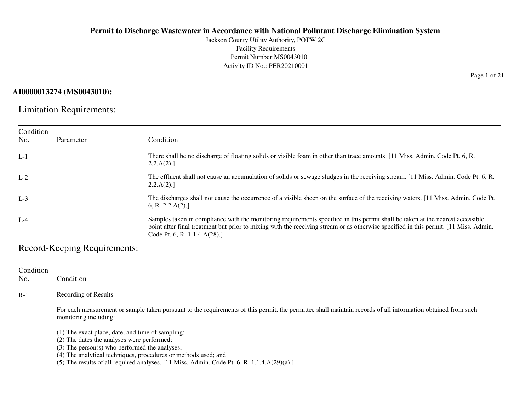Jackson County Utility Authority, POTW 2CFacility Requirements Permit Number:MS0043010Activity ID No.: PER20210001

## **AI0000013274 (MS0043010):**

Limitation Requirements:

| Condition<br>No. | Parameter | Condition                                                                                                                                                                                                                                                                                              |
|------------------|-----------|--------------------------------------------------------------------------------------------------------------------------------------------------------------------------------------------------------------------------------------------------------------------------------------------------------|
| $L-1$            |           | There shall be no discharge of floating solids or visible foam in other than trace amounts. [11 Miss. Admin. Code Pt. 6, R.<br>2.2.A(2).                                                                                                                                                               |
| $L-2$            |           | The effluent shall not cause an accumulation of solids or sewage sludges in the receiving stream. [11 Miss. Admin. Code Pt. 6, R.<br>2.2.A(2).                                                                                                                                                         |
| $L-3$            |           | The discharges shall not cause the occurrence of a visible sheen on the surface of the receiving waters. [11 Miss. Admin. Code Pt.<br>6, R. 2.2.A(2).                                                                                                                                                  |
| $L-4$            |           | Samples taken in compliance with the monitoring requirements specified in this permit shall be taken at the nearest accessible<br>point after final treatment but prior to mixing with the receiving stream or as otherwise specified in this permit. [11 Miss. Admin.<br>Code Pt. 6, R. 1.1.4.A(28).] |

Record-Keeping Requirements:

| Condition<br>No. | Condition                                                                                                                                                                             |  |  |  |  |  |  |
|------------------|---------------------------------------------------------------------------------------------------------------------------------------------------------------------------------------|--|--|--|--|--|--|
| $R-1$            | Recording of Results                                                                                                                                                                  |  |  |  |  |  |  |
|                  | For each measurement or sample taken pursuant to the requirements of this permit, the permittee shall maintain records of all information obtained from such<br>monitoring including: |  |  |  |  |  |  |
|                  | (1) The exact place, date, and time of sampling;                                                                                                                                      |  |  |  |  |  |  |
|                  | (2) The dates the analyses were performed;                                                                                                                                            |  |  |  |  |  |  |
|                  | (3) The person(s) who performed the analyses;                                                                                                                                         |  |  |  |  |  |  |
|                  | (4) The analytical techniques, procedures or methods used; and                                                                                                                        |  |  |  |  |  |  |
|                  | (5) The results of all required analyses. $[11$ Miss. Admin. Code Pt. 6, R. $1.1.4.A(29)(a).]$                                                                                        |  |  |  |  |  |  |

Page 1 of 21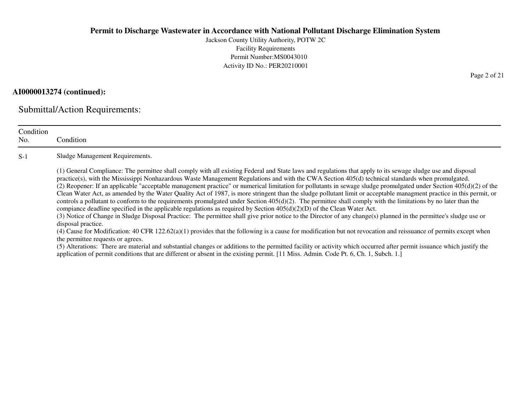Jackson County Utility Authority, POTW 2CFacility Requirements Permit Number:MS0043010Activity ID No.: PER20210001

## **AI0000013274 (continued):**

Submittal/Action Requirements:

| Condition<br>No. | Condition                                                                                                                                                                                                                                                                                                                                                                                                                                                                                                                                                                                                                                                                                                                                                                                                                                                                                                                                                                                                                                                                                                                                                                                                                                                                                                                                                                                                                                                                                                                                                                                                                                                                             |
|------------------|---------------------------------------------------------------------------------------------------------------------------------------------------------------------------------------------------------------------------------------------------------------------------------------------------------------------------------------------------------------------------------------------------------------------------------------------------------------------------------------------------------------------------------------------------------------------------------------------------------------------------------------------------------------------------------------------------------------------------------------------------------------------------------------------------------------------------------------------------------------------------------------------------------------------------------------------------------------------------------------------------------------------------------------------------------------------------------------------------------------------------------------------------------------------------------------------------------------------------------------------------------------------------------------------------------------------------------------------------------------------------------------------------------------------------------------------------------------------------------------------------------------------------------------------------------------------------------------------------------------------------------------------------------------------------------------|
| $S-1$            | Sludge Management Requirements.                                                                                                                                                                                                                                                                                                                                                                                                                                                                                                                                                                                                                                                                                                                                                                                                                                                                                                                                                                                                                                                                                                                                                                                                                                                                                                                                                                                                                                                                                                                                                                                                                                                       |
|                  | (1) General Compliance: The permittee shall comply with all existing Federal and State laws and regulations that apply to its sewage sludge use and disposal<br>practice(s), with the Mississippi Nonhazardous Waste Management Regulations and with the CWA Section 405(d) technical standards when promulgated.<br>(2) Reopener: If an applicable "acceptable management practice" or numerical limitation for pollutants in sewage sludge promulgated under Section $405(d)(2)$ of the<br>Clean Water Act, as amended by the Water Quality Act of 1987, is more stringent than the sludge pollutant limit or acceptable managment practice in this permit, or<br>controls a pollutant to conform to the requirements promulgated under Section $405(d)(2)$ . The permittee shall comply with the limitations by no later than the<br>compiance deadline specified in the applicable regulations as required by Section $405(d)(2)(D)$ of the Clean Water Act.<br>(3) Notice of Change in Sludge Disposal Practice: The permittee shall give prior notice to the Director of any change(s) planned in the permittee's sludge use or<br>disposal practice.<br>(4) Cause for Modification: 40 CFR 122.62(a)(1) provides that the following is a cause for modification but not revocation and reissuance of permits except when<br>the permittee requests or agrees.<br>(5) Alterations: There are material and substantial changes or additions to the permitted facility or activity which occurred after permit issuance which justify the<br>application of permit conditions that are different or absent in the existing permit. [11 Miss. Admin. Code Pt. 6, Ch. 1, Subch. 1.] |

Page 2 of 21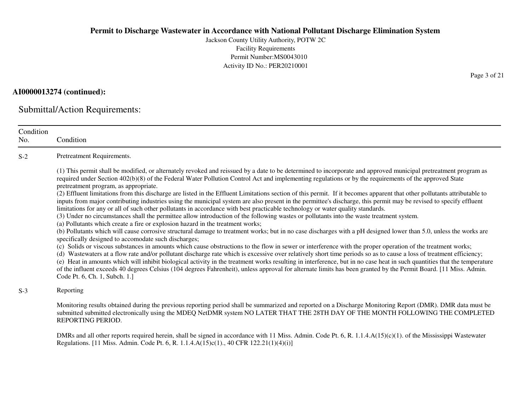Jackson County Utility Authority, POTW 2CFacility Requirements Permit Number:MS0043010Activity ID No.: PER20210001

## **AI0000013274 (continued):**

Submittal/Action Requirements:

| Condition<br>No. | Condition                                                                                                                                                                                                                                                                                                                                                                                                                                                                                                                                                                                                                                                                                                                                                                                                                                                                                                                                                                                                                                                                                                                                                                                                                                                                                                                                                                                                                                                                                                                                                                                                                                                                                                                                                                                                                                                                                                                                                                                                                               |
|------------------|-----------------------------------------------------------------------------------------------------------------------------------------------------------------------------------------------------------------------------------------------------------------------------------------------------------------------------------------------------------------------------------------------------------------------------------------------------------------------------------------------------------------------------------------------------------------------------------------------------------------------------------------------------------------------------------------------------------------------------------------------------------------------------------------------------------------------------------------------------------------------------------------------------------------------------------------------------------------------------------------------------------------------------------------------------------------------------------------------------------------------------------------------------------------------------------------------------------------------------------------------------------------------------------------------------------------------------------------------------------------------------------------------------------------------------------------------------------------------------------------------------------------------------------------------------------------------------------------------------------------------------------------------------------------------------------------------------------------------------------------------------------------------------------------------------------------------------------------------------------------------------------------------------------------------------------------------------------------------------------------------------------------------------------------|
| $S-2$            | Pretreatment Requirements.                                                                                                                                                                                                                                                                                                                                                                                                                                                                                                                                                                                                                                                                                                                                                                                                                                                                                                                                                                                                                                                                                                                                                                                                                                                                                                                                                                                                                                                                                                                                                                                                                                                                                                                                                                                                                                                                                                                                                                                                              |
|                  | (1) This permit shall be modified, or alternately revoked and reissued by a date to be determined to incorporate and approved municipal pretreatment program as<br>required under Section 402(b)(8) of the Federal Water Pollution Control Act and implementing regulations or by the requirements of the approved State<br>pretreatment program, as appropriate.<br>(2) Effluent limitations from this discharge are listed in the Effluent Limitations section of this permit. If it becomes apparent that other pollutants attributable to<br>inputs from major contributing industries using the municipal system are also present in the permittee's discharge, this permit may be revised to specify effluent<br>limitations for any or all of such other pollutants in accordance with best practicable technology or water quality standards.<br>(3) Under no circumstances shall the permittee allow introduction of the following wastes or pollutants into the waste treatment system.<br>(a) Pollutants which create a fire or explosion hazard in the treatment works;<br>(b) Pollutants which will cause corrosive structural damage to treatment works; but in no case discharges with a pH designed lower than 5.0, unless the works are<br>specifically designed to accomodate such discharges;<br>(c) Solids or viscous substances in amounts which cause obstructions to the flow in sewer or interference with the proper operation of the treatment works;<br>(d) Wastewaters at a flow rate and/or pollutant discharge rate which is excessive over relatively short time periods so as to cause a loss of treatment efficiency;<br>(e) Heat in amounts which will inhibit biological activity in the treatment works resulting in interference, but in no case heat in such quantities that the temperature<br>of the influent exceeds 40 degrees Celsius (104 degrees Fahrenheit), unless approval for alternate limits has been granted by the Permit Board. [11 Miss. Admin.<br>Code Pt. 6, Ch. 1, Subch. 1.] |
| $S-3$            | Reporting                                                                                                                                                                                                                                                                                                                                                                                                                                                                                                                                                                                                                                                                                                                                                                                                                                                                                                                                                                                                                                                                                                                                                                                                                                                                                                                                                                                                                                                                                                                                                                                                                                                                                                                                                                                                                                                                                                                                                                                                                               |
|                  | Monitoring results obtained during the previous reporting period shall be summarized and reported on a Discharge Monitoring Report (DMR). DMR data must be<br>submitted submitted electronically using the MDEQ NetDMR system NO LATER THAT THE 28TH DAY OF THE MONTH FOLLOWING THE COMPLETED<br>REPORTING PERIOD.                                                                                                                                                                                                                                                                                                                                                                                                                                                                                                                                                                                                                                                                                                                                                                                                                                                                                                                                                                                                                                                                                                                                                                                                                                                                                                                                                                                                                                                                                                                                                                                                                                                                                                                      |
|                  | DMRs and all other reports required herein, shall be signed in accordance with 11 Miss. Admin. Code Pt. 6, R. 1.1.4. $A(15)(c)(1)$ . of the Mississippi Wastewater<br>Regulations. [11 Miss. Admin. Code Pt. 6, R. 1.1.4.A(15)c(1)., 40 CFR 122.21(1)(4)(i)]                                                                                                                                                                                                                                                                                                                                                                                                                                                                                                                                                                                                                                                                                                                                                                                                                                                                                                                                                                                                                                                                                                                                                                                                                                                                                                                                                                                                                                                                                                                                                                                                                                                                                                                                                                            |

Page 3 of 21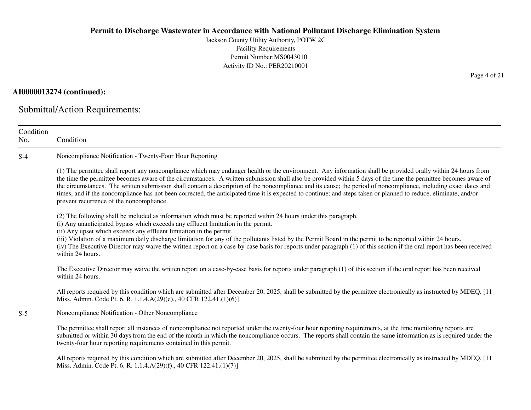Jackson County Utility Authority, POTW 2CFacility Requirements Permit Number:MS0043010Activity ID No.: PER20210001

## **AI0000013274 (continued):**

Submittal/Action Requirements:

Miss. Admin. Code Pt. 6, R. 1.1.4.A(29)(f)., 40 CFR 122.41.(1)(7)]

| Condition<br>No. | Condition                                                                                                                                                                                                                                                                                                                                                                                                                                                                                                                                                                                                                                                                                                           |
|------------------|---------------------------------------------------------------------------------------------------------------------------------------------------------------------------------------------------------------------------------------------------------------------------------------------------------------------------------------------------------------------------------------------------------------------------------------------------------------------------------------------------------------------------------------------------------------------------------------------------------------------------------------------------------------------------------------------------------------------|
| $S-4$            | Noncompliance Notification - Twenty-Four Hour Reporting                                                                                                                                                                                                                                                                                                                                                                                                                                                                                                                                                                                                                                                             |
|                  | (1) The permittee shall report any noncompliance which may endanger health or the environment. Any information shall be provided orally within 24 hours from<br>the time the permittee becomes aware of the circumstances. A written submission shall also be provided within 5 days of the time the permittee becomes aware of<br>the circumstances. The written submission shall contain a description of the noncompliance and its cause; the period of noncompliance, including exact dates and<br>times, and if the noncompliance has not been corrected, the anticipated time it is expected to continue; and steps taken or planned to reduce, eliminate, and/or<br>prevent recurrence of the noncompliance. |
|                  | (2) The following shall be included as information which must be reported within 24 hours under this paragraph.<br>(i) Any unanticipated bypass which exceeds any effluent limitation in the permit.<br>(ii) Any upset which exceeds any effluent limitation in the permit.<br>(iii) Violation of a maximum daily discharge limitation for any of the pollutants listed by the Permit Board in the permit to be reported within 24 hours.<br>(iv) The Executive Director may waive the written report on a case-by-case basis for reports under paragraph (1) of this section if the oral report has been received<br>within 24 hours.                                                                              |
|                  | The Executive Director may waive the written report on a case-by-case basis for reports under paragraph (1) of this section if the oral report has been received<br>within 24 hours.                                                                                                                                                                                                                                                                                                                                                                                                                                                                                                                                |
|                  | All reports required by this condition which are submitted after December 20, 2025, shall be submitted by the permittee electronically as instructed by MDEQ. [11<br>Miss. Admin. Code Pt. 6, R. 1.1.4.A(29)(e)., 40 CFR 122.41.(1)(6)]                                                                                                                                                                                                                                                                                                                                                                                                                                                                             |
| $S-5$            | Noncompliance Notification - Other Noncompliance                                                                                                                                                                                                                                                                                                                                                                                                                                                                                                                                                                                                                                                                    |
|                  | The permittee shall report all instances of noncompliance not reported under the twenty-four hour reporting requirements, at the time monitoring reports are<br>submitted or within 30 days from the end of the month in which the noncompliance occurs. The reports shall contain the same information as is required under the<br>twenty-four hour reporting requirements contained in this permit.                                                                                                                                                                                                                                                                                                               |
|                  | All reports required by this condition which are submitted after December 20, 2025, shall be submitted by the permittee electronically as instructed by MDEQ. [11]                                                                                                                                                                                                                                                                                                                                                                                                                                                                                                                                                  |

Page 4 of 21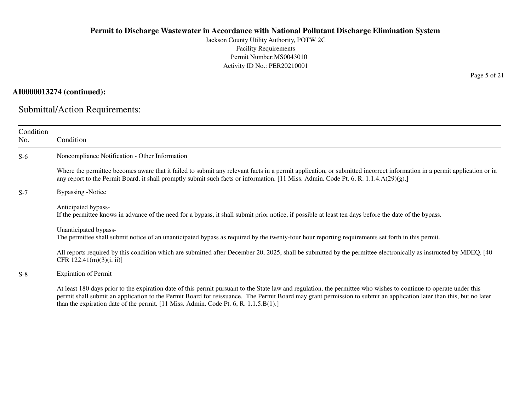Jackson County Utility Authority, POTW 2CFacility Requirements Permit Number:MS0043010Activity ID No.: PER20210001

## **AI0000013274 (continued):**

Submittal/Action Requirements:

| Condition<br>No. | Condition                                                                                                                                                                                                                                                                                                                                                                                                                             |
|------------------|---------------------------------------------------------------------------------------------------------------------------------------------------------------------------------------------------------------------------------------------------------------------------------------------------------------------------------------------------------------------------------------------------------------------------------------|
| $S-6$            | Noncompliance Notification - Other Information                                                                                                                                                                                                                                                                                                                                                                                        |
|                  | Where the permittee becomes aware that it failed to submit any relevant facts in a permit application, or submitted incorrect information in a permit application or in<br>any report to the Permit Board, it shall promptly submit such facts or information. [11 Miss. Admin. Code Pt. 6, R. 1.1.4.A(29)(g).]                                                                                                                       |
| $S-7$            | <b>Bypassing</b> -Notice                                                                                                                                                                                                                                                                                                                                                                                                              |
|                  | Anticipated bypass-<br>If the permittee knows in advance of the need for a bypass, it shall submit prior notice, if possible at least ten days before the date of the bypass.                                                                                                                                                                                                                                                         |
|                  | Unanticipated bypass-<br>The permittee shall submit notice of an unanticipated bypass as required by the twenty-four hour reporting requirements set forth in this permit.                                                                                                                                                                                                                                                            |
|                  | All reports required by this condition which are submitted after December 20, 2025, shall be submitted by the permittee electronically as instructed by MDEQ. [40]<br>CFR $122.41(m)(3)(i, ii)$                                                                                                                                                                                                                                       |
| $S-8$            | <b>Expiration of Permit</b>                                                                                                                                                                                                                                                                                                                                                                                                           |
|                  | At least 180 days prior to the expiration date of this permit pursuant to the State law and regulation, the permittee who wishes to continue to operate under this<br>permit shall submit an application to the Permit Board for reissuance. The Permit Board may grant permission to submit an application later than this, but no later<br>than the expiration date of the permit. $[11$ Miss. Admin. Code Pt. 6, R. $1.1.5.B(1).]$ |

Page 5 of 21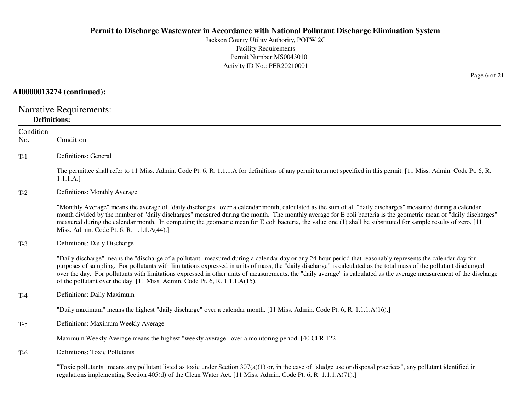Jackson County Utility Authority, POTW 2CFacility Requirements Permit Number:MS0043010Activity ID No.: PER20210001

## **AI0000013274 (continued):**

Narrative Requirements: **Definitions:**

| Condition<br>No. | Condition                                                                                                                                                                                                                                                                                                                                                                                                                                                                                                                                                                                   |
|------------------|---------------------------------------------------------------------------------------------------------------------------------------------------------------------------------------------------------------------------------------------------------------------------------------------------------------------------------------------------------------------------------------------------------------------------------------------------------------------------------------------------------------------------------------------------------------------------------------------|
| $T-1$            | <b>Definitions: General</b>                                                                                                                                                                                                                                                                                                                                                                                                                                                                                                                                                                 |
|                  | The permittee shall refer to 11 Miss. Admin. Code Pt. 6, R. 1.1.1.A for definitions of any permit term not specified in this permit. [11 Miss. Admin. Code Pt. 6, R.<br>1.1.1.A.]                                                                                                                                                                                                                                                                                                                                                                                                           |
| $T-2$            | Definitions: Monthly Average                                                                                                                                                                                                                                                                                                                                                                                                                                                                                                                                                                |
|                  | "Monthly Average" means the average of "daily discharges" over a calendar month, calculated as the sum of all "daily discharges" measured during a calendar<br>month divided by the number of "daily discharges" measured during the month. The monthly average for E coli bacteria is the geometric mean of "daily discharges"<br>measured during the calendar month. In computing the geometric mean for E coli bacteria, the value one (1) shall be substituted for sample results of zero. [11]<br>Miss. Admin. Code Pt. 6, R. 1.1.1.A(44).]                                            |
| $T-3$            | Definitions: Daily Discharge                                                                                                                                                                                                                                                                                                                                                                                                                                                                                                                                                                |
|                  | "Daily discharge" means the "discharge of a pollutant" measured during a calendar day or any 24-hour period that reasonably represents the calendar day for<br>purposes of sampling. For pollutants with limitations expressed in units of mass, the "daily discharge" is calculated as the total mass of the pollutant discharged<br>over the day. For pollutants with limitations expressed in other units of measurements, the "daily average" is calculated as the average measurement of the discharge<br>of the pollutant over the day. [11 Miss. Admin. Code Pt. 6, R. 1.1.1.A(15).] |
| $T-4$            | Definitions: Daily Maximum                                                                                                                                                                                                                                                                                                                                                                                                                                                                                                                                                                  |
|                  | "Daily maximum" means the highest "daily discharge" over a calendar month. [11 Miss. Admin. Code Pt. 6, R. 1.1.1.A(16).]                                                                                                                                                                                                                                                                                                                                                                                                                                                                    |
| $T-5$            | Definitions: Maximum Weekly Average                                                                                                                                                                                                                                                                                                                                                                                                                                                                                                                                                         |
|                  | Maximum Weekly Average means the highest "weekly average" over a monitoring period. [40 CFR 122]                                                                                                                                                                                                                                                                                                                                                                                                                                                                                            |
| $T-6$            | <b>Definitions: Toxic Pollutants</b>                                                                                                                                                                                                                                                                                                                                                                                                                                                                                                                                                        |
|                  | "Toxic pollutants" means any pollutant listed as toxic under Section $307(a)(1)$ or, in the case of "sludge use or disposal practices", any pollutant identified in<br>regulations implementing Section 405(d) of the Clean Water Act. [11 Miss. Admin. Code Pt. 6, R. 1.1.1.A(71).]                                                                                                                                                                                                                                                                                                        |

Page 6 of 21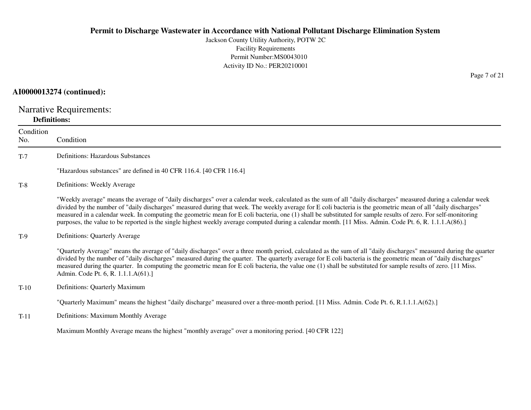Jackson County Utility Authority, POTW 2CFacility Requirements Permit Number:MS0043010Activity ID No.: PER20210001

## **AI0000013274 (continued):**

Narrative Requirements: **Definitions:**

| Condition<br>No. | Condition                                                                                                                                                                                                                                                                                                                                                                                                                                                                                                                                                                                                                                                    |
|------------------|--------------------------------------------------------------------------------------------------------------------------------------------------------------------------------------------------------------------------------------------------------------------------------------------------------------------------------------------------------------------------------------------------------------------------------------------------------------------------------------------------------------------------------------------------------------------------------------------------------------------------------------------------------------|
| $T-7$            | <b>Definitions: Hazardous Substances</b>                                                                                                                                                                                                                                                                                                                                                                                                                                                                                                                                                                                                                     |
|                  | "Hazardous substances" are defined in 40 CFR 116.4. [40 CFR 116.4]                                                                                                                                                                                                                                                                                                                                                                                                                                                                                                                                                                                           |
| $T-8$            | Definitions: Weekly Average                                                                                                                                                                                                                                                                                                                                                                                                                                                                                                                                                                                                                                  |
|                  | "Weekly average" means the average of "daily discharges" over a calendar week, calculated as the sum of all "daily discharges" measured during a calendar week<br>divided by the number of "daily discharges" measured during that week. The weekly average for E coli bacteria is the geometric mean of all "daily discharges"<br>measured in a calendar week. In computing the geometric mean for E coli bacteria, one (1) shall be substituted for sample results of zero. For self-monitoring<br>purposes, the value to be reported is the single highest weekly average computed during a calendar month. [11 Miss. Admin. Code Pt. 6, R. 1.1.1.A(86).] |
| $T-9$            | Definitions: Quarterly Average                                                                                                                                                                                                                                                                                                                                                                                                                                                                                                                                                                                                                               |
|                  | "Quarterly Average" means the average of "daily discharges" over a three month period, calculated as the sum of all "daily discharges" measured during the quarter<br>divided by the number of "daily discharges" measured during the quarter. The quarterly average for E coli bacteria is the geometric mean of "daily discharges"<br>measured during the quarter. In computing the geometric mean for E coli bacteria, the value one (1) shall be substituted for sample results of zero. [11 Miss.<br>Admin. Code Pt. 6, R. 1.1.1.A(61).]                                                                                                                |
| $T-10$           | Definitions: Quarterly Maximum                                                                                                                                                                                                                                                                                                                                                                                                                                                                                                                                                                                                                               |
|                  | "Quarterly Maximum" means the highest "daily discharge" measured over a three-month period. [11 Miss. Admin. Code Pt. 6, R.1.1.1.A(62).]                                                                                                                                                                                                                                                                                                                                                                                                                                                                                                                     |
| $T-11$           | Definitions: Maximum Monthly Average                                                                                                                                                                                                                                                                                                                                                                                                                                                                                                                                                                                                                         |
|                  | Maximum Monthly Average means the highest "monthly average" over a monitoring period. [40 CFR 122]                                                                                                                                                                                                                                                                                                                                                                                                                                                                                                                                                           |

Page 7 of 21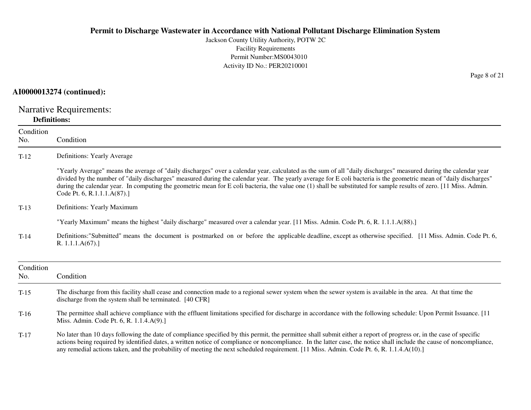Jackson County Utility Authority, POTW 2CFacility Requirements Permit Number:MS0043010Activity ID No.: PER20210001

## **AI0000013274 (continued):**

Narrative Requirements: **Definitions:**

| Condition<br>No. | Condition                                                                                                                                                                                                                                                                                                                                                                                                                                                                                                                                  |
|------------------|--------------------------------------------------------------------------------------------------------------------------------------------------------------------------------------------------------------------------------------------------------------------------------------------------------------------------------------------------------------------------------------------------------------------------------------------------------------------------------------------------------------------------------------------|
| $T-12$           | Definitions: Yearly Average                                                                                                                                                                                                                                                                                                                                                                                                                                                                                                                |
|                  | "Yearly Average" means the average of "daily discharges" over a calendar year, calculated as the sum of all "daily discharges" measured during the calendar year<br>divided by the number of "daily discharges" measured during the calendar year. The yearly average for E coli bacteria is the geometric mean of "daily discharges"<br>during the calendar year. In computing the geometric mean for E coli bacteria, the value one (1) shall be substituted for sample results of zero. [11 Miss. Admin.<br>Code Pt. 6, R.1.1.1.A(87).] |
| $T-13$           | Definitions: Yearly Maximum                                                                                                                                                                                                                                                                                                                                                                                                                                                                                                                |
|                  | "Yearly Maximum" means the highest "daily discharge" measured over a calendar year. [11 Miss. Admin. Code Pt. 6, R. 1.1.1.A(88).]                                                                                                                                                                                                                                                                                                                                                                                                          |
| $T-14$           | Definitions:"Submitted" means the document is postmarked on or before the applicable deadline, except as otherwise specified. [11 Miss. Admin. Code Pt. 6,<br>R. $1.1.1.A(67).$                                                                                                                                                                                                                                                                                                                                                            |
| Condition<br>No. | Condition                                                                                                                                                                                                                                                                                                                                                                                                                                                                                                                                  |
| $T-15$           | The discharge from this facility shall cease and connection made to a regional sewer system when the sewer system is available in the area. At that time the<br>discharge from the system shall be terminated. [40 CFR]                                                                                                                                                                                                                                                                                                                    |
| $T-16$           | The permittee shall achieve compliance with the effluent limitations specified for discharge in accordance with the following schedule: Upon Permit Issuance. [11]<br>Miss. Admin. Code Pt. 6, R. 1.1.4.A(9).                                                                                                                                                                                                                                                                                                                              |
| $T-17$           | No later than 10 days following the date of compliance specified by this permit, the permittee shall submit either a report of progress or, in the case of specific<br>actions being required by identified dates, a written notice of compliance or noncompliance. In the latter case, the notice shall include the cause of noncompliance,<br>any remedial actions taken, and the probability of meeting the next scheduled requirement. [11 Miss. Admin. Code Pt. 6, R. 1.1.4.A(10).]                                                   |

Page 8 of 21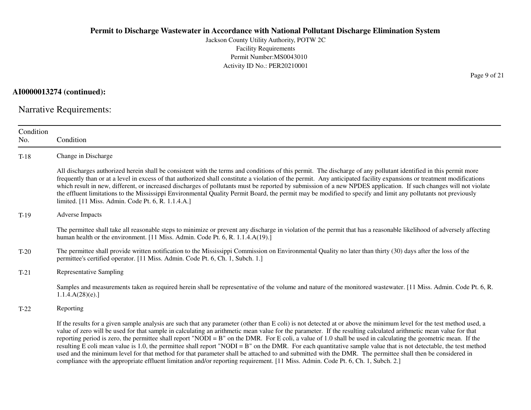Jackson County Utility Authority, POTW 2CFacility Requirements Permit Number:MS0043010Activity ID No.: PER20210001

**AI0000013274 (continued):**

Narrative Requirements:

| Condition<br>No. | Condition                                                                                                                                                                                                                                                                                                                                                                                                                                                                                                                                                                                                                                                                                                                                                                                                                                                                                                                                                                      |
|------------------|--------------------------------------------------------------------------------------------------------------------------------------------------------------------------------------------------------------------------------------------------------------------------------------------------------------------------------------------------------------------------------------------------------------------------------------------------------------------------------------------------------------------------------------------------------------------------------------------------------------------------------------------------------------------------------------------------------------------------------------------------------------------------------------------------------------------------------------------------------------------------------------------------------------------------------------------------------------------------------|
| $T-18$           | Change in Discharge                                                                                                                                                                                                                                                                                                                                                                                                                                                                                                                                                                                                                                                                                                                                                                                                                                                                                                                                                            |
|                  | All discharges authorized herein shall be consistent with the terms and conditions of this permit. The discharge of any pollutant identified in this permit more<br>frequently than or at a level in excess of that authorized shall constitute a violation of the permit. Any anticipated facility expansions or treatment modifications<br>which result in new, different, or increased discharges of pollutants must be reported by submission of a new NPDES application. If such changes will not violate<br>the effluent limitations to the Mississippi Environmental Quality Permit Board, the permit may be modified to specify and limit any pollutants not previously<br>limited. [11 Miss. Admin. Code Pt. 6, R. 1.1.4.A.]                                                                                                                                                                                                                                          |
| $T-19$           | <b>Adverse Impacts</b>                                                                                                                                                                                                                                                                                                                                                                                                                                                                                                                                                                                                                                                                                                                                                                                                                                                                                                                                                         |
|                  | The permittee shall take all reasonable steps to minimize or prevent any discharge in violation of the permit that has a reasonable likelihood of adversely affecting<br>human health or the environment. [11 Miss. Admin. Code Pt. 6, R. 1.1.4.A(19).]                                                                                                                                                                                                                                                                                                                                                                                                                                                                                                                                                                                                                                                                                                                        |
| $T-20$           | The permittee shall provide written notification to the Mississippi Commission on Environmental Quality no later than thirty (30) days after the loss of the<br>permittee's certified operator. [11 Miss. Admin. Code Pt. 6, Ch. 1, Subch. 1.]                                                                                                                                                                                                                                                                                                                                                                                                                                                                                                                                                                                                                                                                                                                                 |
| $T-21$           | <b>Representative Sampling</b>                                                                                                                                                                                                                                                                                                                                                                                                                                                                                                                                                                                                                                                                                                                                                                                                                                                                                                                                                 |
|                  | Samples and measurements taken as required herein shall be representative of the volume and nature of the monitored wastewater. [11 Miss. Admin. Code Pt. 6, R.<br>1.1.4.A(28)(e).                                                                                                                                                                                                                                                                                                                                                                                                                                                                                                                                                                                                                                                                                                                                                                                             |
| $T-22$           | Reporting                                                                                                                                                                                                                                                                                                                                                                                                                                                                                                                                                                                                                                                                                                                                                                                                                                                                                                                                                                      |
|                  | If the results for a given sample analysis are such that any parameter (other than E coli) is not detected at or above the minimum level for the test method used, a<br>value of zero will be used for that sample in calculating an arithmetic mean value for the parameter. If the resulting calculated arithmetic mean value for that<br>reporting period is zero, the permittee shall report "NODI = B" on the DMR. For E coli, a value of 1.0 shall be used in calculating the geometric mean. If the<br>resulting E coli mean value is 1.0, the permittee shall report "NODI = B" on the DMR. For each quantitative sample value that is not detectable, the test method<br>used and the minimum level for that method for that parameter shall be attached to and submitted with the DMR. The permittee shall then be considered in<br>compliance with the appropriate effluent limitation and/or reporting requirement. [11 Miss. Admin. Code Pt. 6, Ch. 1, Subch. 2.] |

Page 9 of 21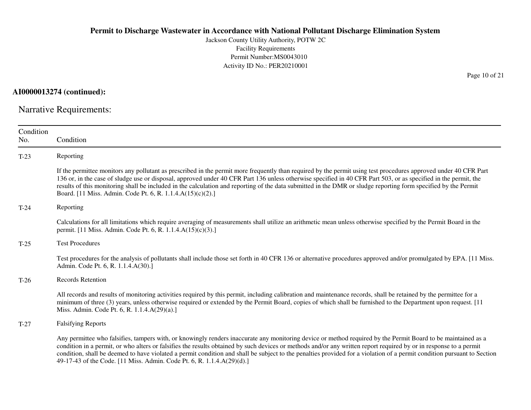Jackson County Utility Authority, POTW 2CFacility Requirements Permit Number:MS0043010Activity ID No.: PER20210001

**AI0000013274 (continued):**

Narrative Requirements:

| Condition<br>No. | Condition                                                                                                                                                                                                                                                                                                                                                                                                                                                                                                                                                                                |
|------------------|------------------------------------------------------------------------------------------------------------------------------------------------------------------------------------------------------------------------------------------------------------------------------------------------------------------------------------------------------------------------------------------------------------------------------------------------------------------------------------------------------------------------------------------------------------------------------------------|
| $T-23$           | Reporting                                                                                                                                                                                                                                                                                                                                                                                                                                                                                                                                                                                |
|                  | If the permittee monitors any pollutant as prescribed in the permit more frequently than required by the permit using test procedures approved under 40 CFR Part<br>136 or, in the case of sludge use or disposal, approved under 40 CFR Part 136 unless otherwise specified in 40 CFR Part 503, or as specified in the permit, the<br>results of this monitoring shall be included in the calculation and reporting of the data submitted in the DMR or sludge reporting form specified by the Permit<br>Board. [11 Miss. Admin. Code Pt. 6, R. 1.1.4.A(15)(c)(2).]                     |
| $T-24$           | Reporting                                                                                                                                                                                                                                                                                                                                                                                                                                                                                                                                                                                |
|                  | Calculations for all limitations which require averaging of measurements shall utilize an arithmetic mean unless otherwise specified by the Permit Board in the<br>permit. [11 Miss. Admin. Code Pt. 6, R. 1.1.4.A(15)(c)(3).]                                                                                                                                                                                                                                                                                                                                                           |
| $T-25$           | <b>Test Procedures</b>                                                                                                                                                                                                                                                                                                                                                                                                                                                                                                                                                                   |
|                  | Test procedures for the analysis of pollutants shall include those set forth in 40 CFR 136 or alternative procedures approved and/or promulgated by EPA. [11 Miss.]<br>Admin. Code Pt. 6, R. 1.1.4.A(30).]                                                                                                                                                                                                                                                                                                                                                                               |
| $T-26$           | Records Retention                                                                                                                                                                                                                                                                                                                                                                                                                                                                                                                                                                        |
|                  | All records and results of monitoring activities required by this permit, including calibration and maintenance records, shall be retained by the permittee for a<br>minimum of three (3) years, unless otherwise required or extended by the Permit Board, copies of which shall be furnished to the Department upon request. [11]<br>Miss. Admin. Code Pt. 6, R. 1.1.4.A(29)(a).]                                                                                                                                                                                                      |
| $T-27$           | <b>Falsifying Reports</b>                                                                                                                                                                                                                                                                                                                                                                                                                                                                                                                                                                |
|                  | Any permittee who falsifies, tampers with, or knowingly renders inaccurate any monitoring device or method required by the Permit Board to be maintained as a<br>condition in a permit, or who alters or falsifies the results obtained by such devices or methods and/or any written report required by or in response to a permit<br>condition, shall be deemed to have violated a permit condition and shall be subject to the penalties provided for a violation of a permit condition pursuant to Section<br>49-17-43 of the Code. [11 Miss. Admin. Code Pt. 6, R. 1.1.4.A(29)(d).] |

Page 10 of 21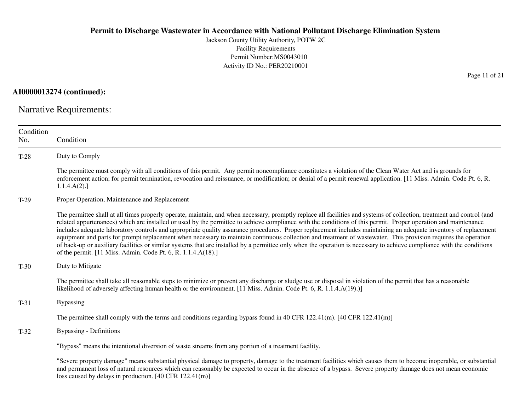Jackson County Utility Authority, POTW 2CFacility Requirements Permit Number:MS0043010Activity ID No.: PER20210001

**AI0000013274 (continued):**

Narrative Requirements:

| Condition<br>No. | Condition                                                                                                                                                                                                                                                                                                                                                                                                                                                                                                                                                                                                                                                                                                                                                                                                                                                                                                                |
|------------------|--------------------------------------------------------------------------------------------------------------------------------------------------------------------------------------------------------------------------------------------------------------------------------------------------------------------------------------------------------------------------------------------------------------------------------------------------------------------------------------------------------------------------------------------------------------------------------------------------------------------------------------------------------------------------------------------------------------------------------------------------------------------------------------------------------------------------------------------------------------------------------------------------------------------------|
| $T-28$           | Duty to Comply                                                                                                                                                                                                                                                                                                                                                                                                                                                                                                                                                                                                                                                                                                                                                                                                                                                                                                           |
|                  | The permittee must comply with all conditions of this permit. Any permit noncompliance constitutes a violation of the Clean Water Act and is grounds for<br>enforcement action; for permit termination, revocation and reissuance, or modification; or denial of a permit renewal application. [11 Miss. Admin. Code Pt. 6, R.<br>1.1.4.A(2).                                                                                                                                                                                                                                                                                                                                                                                                                                                                                                                                                                            |
| $T-29$           | Proper Operation, Maintenance and Replacement                                                                                                                                                                                                                                                                                                                                                                                                                                                                                                                                                                                                                                                                                                                                                                                                                                                                            |
|                  | The permittee shall at all times properly operate, maintain, and when necessary, promptly replace all facilities and systems of collection, treatment and control (and<br>related appurtenances) which are installed or used by the permittee to achieve compliance with the conditions of this permit. Proper operation and maintenance<br>includes adequate laboratory controls and appropriate quality assurance procedures. Proper replacement includes maintaining an adequate inventory of replacement<br>equipment and parts for prompt replacement when necessary to maintain continuous collection and treatment of wastewater. This provision requires the operation<br>of back-up or auxiliary facilities or similar systems that are installed by a permittee only when the operation is necessary to achieve compliance with the conditions<br>of the permit. [11 Miss. Admin. Code Pt. 6, R. 1.1.4.A(18).] |
| $T-30$           | Duty to Mitigate                                                                                                                                                                                                                                                                                                                                                                                                                                                                                                                                                                                                                                                                                                                                                                                                                                                                                                         |
|                  | The permittee shall take all reasonable steps to minimize or prevent any discharge or sludge use or disposal in violation of the permit that has a reasonable<br>likelihood of adversely affecting human health or the environment. [11 Miss. Admin. Code Pt. 6, R. 1.1.4.A(19).)]                                                                                                                                                                                                                                                                                                                                                                                                                                                                                                                                                                                                                                       |
| $T-31$           | <b>Bypassing</b>                                                                                                                                                                                                                                                                                                                                                                                                                                                                                                                                                                                                                                                                                                                                                                                                                                                                                                         |
|                  | The permittee shall comply with the terms and conditions regarding bypass found in 40 CFR 122.41(m). $[40 \text{ CFR } 122.41 \text{ (m)}]$                                                                                                                                                                                                                                                                                                                                                                                                                                                                                                                                                                                                                                                                                                                                                                              |
| $T-32$           | <b>Bypassing - Definitions</b>                                                                                                                                                                                                                                                                                                                                                                                                                                                                                                                                                                                                                                                                                                                                                                                                                                                                                           |
|                  | "Bypass" means the intentional diversion of waste streams from any portion of a treatment facility.                                                                                                                                                                                                                                                                                                                                                                                                                                                                                                                                                                                                                                                                                                                                                                                                                      |
|                  | "Severe property damage" means substantial physical damage to property, damage to the treatment facilities which causes them to become inoperable, or substantial<br>and permanent loss of natural resources which can reasonably be expected to occur in the absence of a bypass. Severe property damage does not mean economic                                                                                                                                                                                                                                                                                                                                                                                                                                                                                                                                                                                         |

loss caused by delays in production. [40 CFR 122.41(m)]

Page 11 of 21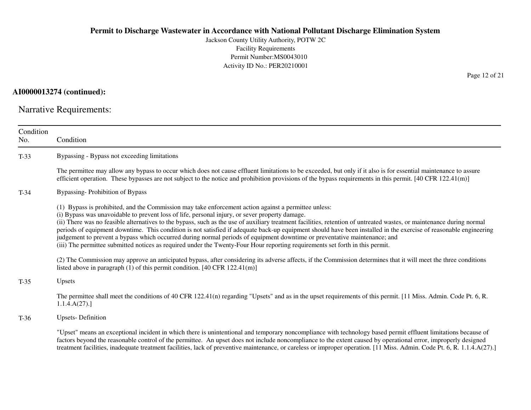Jackson County Utility Authority, POTW 2CFacility Requirements Permit Number:MS0043010Activity ID No.: PER20210001

## **AI0000013274 (continued):**

Narrative Requirements:

| Condition<br>No. | Condition                                                                                                                                                                                                                                                                                                                                                                                                                                                                                                                                                                                                                                                                                                                                                                                                          |
|------------------|--------------------------------------------------------------------------------------------------------------------------------------------------------------------------------------------------------------------------------------------------------------------------------------------------------------------------------------------------------------------------------------------------------------------------------------------------------------------------------------------------------------------------------------------------------------------------------------------------------------------------------------------------------------------------------------------------------------------------------------------------------------------------------------------------------------------|
| $T-33$           | Bypassing - Bypass not exceeding limitations                                                                                                                                                                                                                                                                                                                                                                                                                                                                                                                                                                                                                                                                                                                                                                       |
|                  | The permittee may allow any bypass to occur which does not cause effluent limitations to be exceeded, but only if it also is for essential maintenance to assure<br>efficient operation. These bypasses are not subject to the notice and prohibition provisions of the bypass requirements in this permit. $[40 \text{ CFR } 122.41 \text{ (m)}]$                                                                                                                                                                                                                                                                                                                                                                                                                                                                 |
| $T-34$           | <b>Bypassing-Prohibition of Bypass</b>                                                                                                                                                                                                                                                                                                                                                                                                                                                                                                                                                                                                                                                                                                                                                                             |
|                  | (1) Bypass is prohibited, and the Commission may take enforcement action against a permittee unless:<br>(i) Bypass was unavoidable to prevent loss of life, personal injury, or sever property damage.<br>(ii) There was no feasible alternatives to the bypass, such as the use of auxiliary treatment facilities, retention of untreated wastes, or maintenance during normal<br>periods of equipment downtime. This condition is not satisfied if adequate back-up equipment should have been installed in the exercise of reasonable engineering<br>judgement to prevent a bypass which occurred during normal periods of equipment downtime or preventative maintenance; and<br>(iii) The permittee submitted notices as required under the Twenty-Four Hour reporting requirements set forth in this permit. |
|                  | (2) The Commission may approve an anticipated bypass, after considering its adverse affects, if the Commission determines that it will meet the three conditions<br>listed above in paragraph $(1)$ of this permit condition. [40 CFR 122.41(m)]                                                                                                                                                                                                                                                                                                                                                                                                                                                                                                                                                                   |
| $T-35$           | Upsets                                                                                                                                                                                                                                                                                                                                                                                                                                                                                                                                                                                                                                                                                                                                                                                                             |
|                  | The permittee shall meet the conditions of 40 CFR 122.41(n) regarding "Upsets" and as in the upset requirements of this permit. [11 Miss. Admin. Code Pt. 6, R.<br>1.1.4.A(27).                                                                                                                                                                                                                                                                                                                                                                                                                                                                                                                                                                                                                                    |
| $T-36$           | <b>Upsets-Definition</b>                                                                                                                                                                                                                                                                                                                                                                                                                                                                                                                                                                                                                                                                                                                                                                                           |
|                  | "Upset" means an exceptional incident in which there is unintentional and temporary noncompliance with technology based permit effluent limitations because of<br>factors beyond the reasonable control of the permittee. An upset does not include noncompliance to the extent caused by operational error, improperly designed<br>treatment facilities, inadequate treatment facilities, lack of preventive maintenance, or careless or improper operation. [11 Miss. Admin. Code Pt. 6, R. 1.1.4.A(27).]                                                                                                                                                                                                                                                                                                        |

Page 12 of 21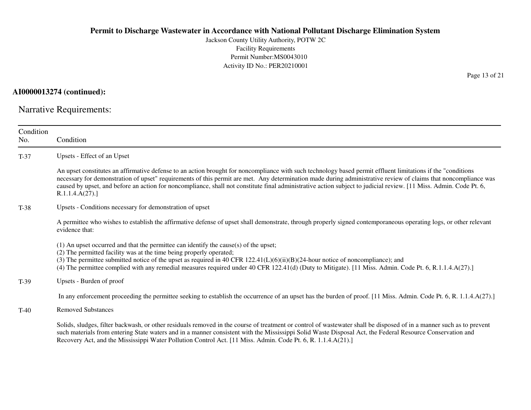Jackson County Utility Authority, POTW 2CFacility Requirements Permit Number:MS0043010Activity ID No.: PER20210001

**AI0000013274 (continued):**

Narrative Requirements:

| Condition<br>No. | Condition                                                                                                                                                                                                                                                                                                                                                                                                                                                                                                                |
|------------------|--------------------------------------------------------------------------------------------------------------------------------------------------------------------------------------------------------------------------------------------------------------------------------------------------------------------------------------------------------------------------------------------------------------------------------------------------------------------------------------------------------------------------|
| $T-37$           | Upsets - Effect of an Upset                                                                                                                                                                                                                                                                                                                                                                                                                                                                                              |
|                  | An upset constitutes an affirmative defense to an action brought for noncompliance with such technology based permit effluent limitations if the "conditions"<br>necessary for demonstration of upset" requirements of this permit are met. Any determination made during administrative review of claims that noncompliance was<br>caused by upset, and before an action for noncompliance, shall not constitute final administrative action subject to judicial review. [11 Miss. Admin. Code Pt. 6,<br>R.1.1.4.A(27). |
| $T-38$           | Upsets - Conditions necessary for demonstration of upset                                                                                                                                                                                                                                                                                                                                                                                                                                                                 |
|                  | A permittee who wishes to establish the affirmative defense of upset shall demonstrate, through properly signed contemporaneous operating logs, or other relevant<br>evidence that:                                                                                                                                                                                                                                                                                                                                      |
|                  | (1) An upset occurred and that the permittee can identify the cause(s) of the upset;<br>(2) The permitted facility was at the time being properly operated;<br>(3) The permittee submitted notice of the upset as required in 40 CFR $122.41(L)(6)(ii)(B)(24$ -hour notice of noncompliance); and<br>(4) The permittee complied with any remedial measures required under 40 CFR 122.41(d) (Duty to Mitigate). [11 Miss. Admin. Code Pt. 6, R.1.1.4.A(27).]                                                              |
| $T-39$           | Upsets - Burden of proof                                                                                                                                                                                                                                                                                                                                                                                                                                                                                                 |
|                  | In any enforcement proceeding the permittee seeking to establish the occurrence of an upset has the burden of proof. [11 Miss. Admin. Code Pt. 6, R. 1.1.4.A(27).]                                                                                                                                                                                                                                                                                                                                                       |
| $T-40$           | <b>Removed Substances</b>                                                                                                                                                                                                                                                                                                                                                                                                                                                                                                |
|                  | Solids, sludges, filter backwash, or other residuals removed in the course of treatment or control of wastewater shall be disposed of in a manner such as to prevent<br>such materials from entering State waters and in a manner consistent with the Mississippi Solid Waste Disposal Act, the Federal Resource Conservation and<br>Recovery Act, and the Mississippi Water Pollution Control Act. [11 Miss. Admin. Code Pt. 6, R. 1.1.4.A(21).]                                                                        |

Page 13 of 21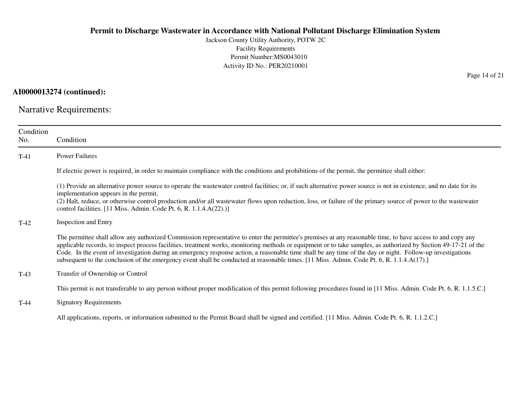Jackson County Utility Authority, POTW 2CFacility Requirements Permit Number:MS0043010Activity ID No.: PER20210001

**AI0000013274 (continued):**

Narrative Requirements:

| Condition<br>No. | Condition                                                                                                                                                                                                                                                                                                                                                                                                                                                                                                                                                                                                                                  |
|------------------|--------------------------------------------------------------------------------------------------------------------------------------------------------------------------------------------------------------------------------------------------------------------------------------------------------------------------------------------------------------------------------------------------------------------------------------------------------------------------------------------------------------------------------------------------------------------------------------------------------------------------------------------|
| $T-41$           | <b>Power Failures</b>                                                                                                                                                                                                                                                                                                                                                                                                                                                                                                                                                                                                                      |
|                  | If electric power is required, in order to maintain compliance with the conditions and prohibitions of the permit, the permittee shall either:                                                                                                                                                                                                                                                                                                                                                                                                                                                                                             |
|                  | (1) Provide an alternative power source to operate the wastewater control facilities; or, if such alternative power source is not in existence, and no date for its<br>implementation appears in the permit,<br>(2) Halt, reduce, or otherwise control production and/or all wastewater flows upon reduction, loss, or failure of the primary source of power to the wastewater<br>control facilities. [11 Miss. Admin. Code Pt. 6, R. 1.1.4.A(22).)]                                                                                                                                                                                      |
| $T-42$           | <b>Inspection and Entry</b>                                                                                                                                                                                                                                                                                                                                                                                                                                                                                                                                                                                                                |
|                  | The permittee shall allow any authorized Commission representative to enter the permittee's premises at any reasonable time, to have access to and copy any<br>applicable records, to inspect process facilities, treatment works, monitoring methods or equipment or to take samples, as authorized by Section 49-17-21 of the<br>Code. In the event of investigation during an emergency response action, a reasonable time shall be any time of the day or night. Follow-up investigations<br>subsequent to the conclusion of the emergency event shall be conducted at reasonable times. [11 Miss. Admin. Code Pt. 6, R. 1.1.4.A(17).] |
| $T-43$           | Transfer of Ownership or Control                                                                                                                                                                                                                                                                                                                                                                                                                                                                                                                                                                                                           |
|                  | This permit is not transferable to any person without proper modification of this permit following procedures found in [11 Miss. Admin. Code Pt. 6, R. 1.1.5.C.]                                                                                                                                                                                                                                                                                                                                                                                                                                                                           |
| $T-44$           | <b>Signatory Requirements</b>                                                                                                                                                                                                                                                                                                                                                                                                                                                                                                                                                                                                              |
|                  | All applications, reports, or information submitted to the Permit Board shall be signed and certified. [11 Miss. Admin. Code Pt. 6, R. 1.1.2.C.]                                                                                                                                                                                                                                                                                                                                                                                                                                                                                           |

Page 14 of 21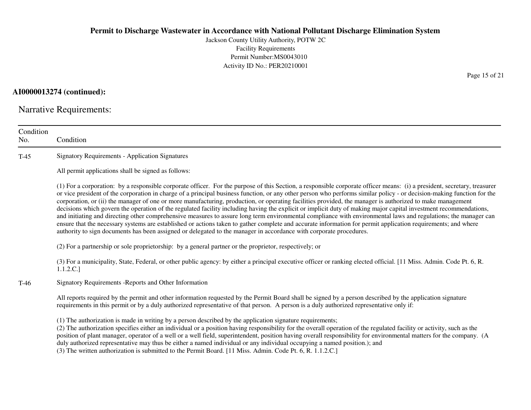Jackson County Utility Authority, POTW 2CFacility Requirements Permit Number:MS0043010Activity ID No.: PER20210001

## **AI0000013274 (continued):**

Narrative Requirements:

| Condition<br>No. | Condition                                                                                                                                                                                                                                                                                                                                                                                                                                                                                                                                                                                                                                                                                                                                                                                                                                                                                                                                                                                                                                                                                                                                      |
|------------------|------------------------------------------------------------------------------------------------------------------------------------------------------------------------------------------------------------------------------------------------------------------------------------------------------------------------------------------------------------------------------------------------------------------------------------------------------------------------------------------------------------------------------------------------------------------------------------------------------------------------------------------------------------------------------------------------------------------------------------------------------------------------------------------------------------------------------------------------------------------------------------------------------------------------------------------------------------------------------------------------------------------------------------------------------------------------------------------------------------------------------------------------|
| $T-45$           | <b>Signatory Requirements - Application Signatures</b>                                                                                                                                                                                                                                                                                                                                                                                                                                                                                                                                                                                                                                                                                                                                                                                                                                                                                                                                                                                                                                                                                         |
|                  | All permit applications shall be signed as follows:                                                                                                                                                                                                                                                                                                                                                                                                                                                                                                                                                                                                                                                                                                                                                                                                                                                                                                                                                                                                                                                                                            |
|                  | (1) For a corporation: by a responsible corporate officer. For the purpose of this Section, a responsible corporate officer means: (i) a president, secretary, treasurer<br>or vice president of the corporation in charge of a principal business function, or any other person who performs similar policy - or decision-making function for the<br>corporation, or (ii) the manager of one or more manufacturing, production, or operating facilities provided, the manager is authorized to make management<br>decisions which govern the operation of the regulated facility including having the explicit or implicit duty of making major capital investment recommendations,<br>and initiating and directing other comprehensive measures to assure long term environmental compliance with environmental laws and regulations; the manager can<br>ensure that the necessary systems are established or actions taken to gather complete and accurate information for permit application requirements; and where<br>authority to sign documents has been assigned or delegated to the manager in accordance with corporate procedures. |
|                  | (2) For a partnership or sole proprietorship: by a general partner or the proprietor, respectively; or                                                                                                                                                                                                                                                                                                                                                                                                                                                                                                                                                                                                                                                                                                                                                                                                                                                                                                                                                                                                                                         |
|                  | (3) For a municipality, State, Federal, or other public agency: by either a principal executive officer or ranking elected official. [11 Miss. Admin. Code Pt. 6, R.<br>1.1.2.C.]                                                                                                                                                                                                                                                                                                                                                                                                                                                                                                                                                                                                                                                                                                                                                                                                                                                                                                                                                              |
| $T-46$           | Signatory Requirements - Reports and Other Information                                                                                                                                                                                                                                                                                                                                                                                                                                                                                                                                                                                                                                                                                                                                                                                                                                                                                                                                                                                                                                                                                         |
|                  | All reports required by the permit and other information requested by the Permit Board shall be signed by a person described by the application signature<br>requirements in this permit or by a duly authorized representative of that person. A person is a duly authorized representative only if:                                                                                                                                                                                                                                                                                                                                                                                                                                                                                                                                                                                                                                                                                                                                                                                                                                          |
|                  | (1) The authorization is made in writing by a person described by the application signature requirements;<br>(2) The authorization specifies either an individual or a position having responsibility for the overall operation of the regulated facility or activity, such as the<br>position of plant manager, operator of a well or a well field, superintendent, position having overall responsibility for environmental matters for the company. (A<br>duly authorized representative may thus be either a named individual or any individual occupying a named position.); and<br>(3) The written authorization is submitted to the Permit Board. [11 Miss. Admin. Code Pt. 6, R. 1.1.2.C.]                                                                                                                                                                                                                                                                                                                                                                                                                                             |

Page 15 of 21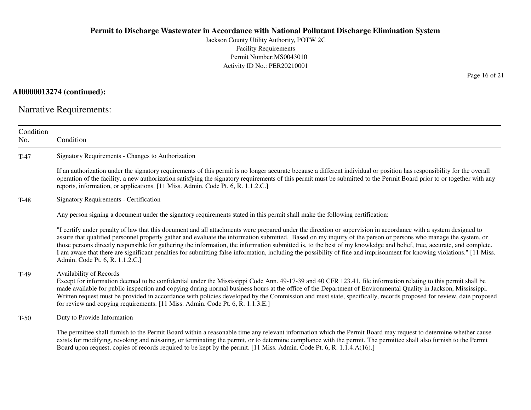Jackson County Utility Authority, POTW 2CFacility Requirements Permit Number:MS0043010Activity ID No.: PER20210001

## **AI0000013274 (continued):**

Narrative Requirements:

| Condition<br>No. | Condition                                                                                                                                                                                                                                                                                                                                                                                                                                                                                                                                                                                                                                                                                                                |
|------------------|--------------------------------------------------------------------------------------------------------------------------------------------------------------------------------------------------------------------------------------------------------------------------------------------------------------------------------------------------------------------------------------------------------------------------------------------------------------------------------------------------------------------------------------------------------------------------------------------------------------------------------------------------------------------------------------------------------------------------|
| $T-47$           | Signatory Requirements - Changes to Authorization                                                                                                                                                                                                                                                                                                                                                                                                                                                                                                                                                                                                                                                                        |
|                  | If an authorization under the signatory requirements of this permit is no longer accurate because a different individual or position has responsibility for the overall<br>operation of the facility, a new authorization satisfying the signatory requirements of this permit must be submitted to the Permit Board prior to or together with any<br>reports, information, or applications. [11 Miss. Admin. Code Pt. 6, R. 1.1.2.C.]                                                                                                                                                                                                                                                                                   |
| $T-48$           | <b>Signatory Requirements - Certification</b>                                                                                                                                                                                                                                                                                                                                                                                                                                                                                                                                                                                                                                                                            |
|                  | Any person signing a document under the signatory requirements stated in this permit shall make the following certification:                                                                                                                                                                                                                                                                                                                                                                                                                                                                                                                                                                                             |
|                  | "I certify under penalty of law that this document and all attachments were prepared under the direction or supervision in accordance with a system designed to<br>assure that qualified personnel properly gather and evaluate the information submitted. Based on my inquiry of the person or persons who manage the system, or<br>those persons directly responsible for gathering the information, the information submitted is, to the best of my knowledge and belief, true, accurate, and complete.<br>I am aware that there are significant penalties for submitting false information, including the possibility of fine and imprisonment for knowing violations." [11 Miss.<br>Admin. Code Pt. 6, R. 1.1.2.C.] |
| $T-49$           | Availability of Records<br>Except for information deemed to be confidential under the Mississippi Code Ann. 49-17-39 and 40 CFR 123.41, file information relating to this permit shall be<br>made available for public inspection and copying during normal business hours at the office of the Department of Environmental Quality in Jackson, Mississippi.<br>Written request must be provided in accordance with policies developed by the Commission and must state, specifically, records proposed for review, date proposed<br>for review and copying requirements. [11 Miss. Admin. Code Pt. 6, R. 1.1.3.E.]                                                                                                      |
| $T-50$           | Duty to Provide Information                                                                                                                                                                                                                                                                                                                                                                                                                                                                                                                                                                                                                                                                                              |
|                  | The permittee shall furnish to the Permit Board within a reasonable time any relevant information which the Permit Board may request to determine whether cause<br>exists for modifying, revoking and reissuing, or terminating the permit, or to determine compliance with the permit. The permittee shall also furnish to the Permit<br>Board upon request, copies of records required to be kept by the permit. [11 Miss. Admin. Code Pt. 6, R. 1.1.4.A(16).]                                                                                                                                                                                                                                                         |

Page 16 of 21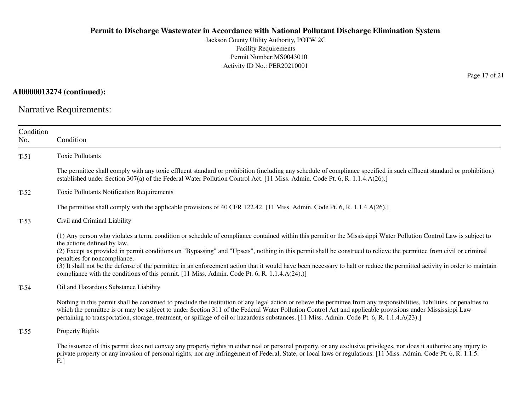Jackson County Utility Authority, POTW 2CFacility Requirements Permit Number:MS0043010Activity ID No.: PER20210001

**AI0000013274 (continued):**

Narrative Requirements:

| Condition<br>No. | Condition                                                                                                                                                                                                                                                                                                                                                                                                                                                                                                                                                                                                                                                                            |
|------------------|--------------------------------------------------------------------------------------------------------------------------------------------------------------------------------------------------------------------------------------------------------------------------------------------------------------------------------------------------------------------------------------------------------------------------------------------------------------------------------------------------------------------------------------------------------------------------------------------------------------------------------------------------------------------------------------|
| $T-51$           | <b>Toxic Pollutants</b>                                                                                                                                                                                                                                                                                                                                                                                                                                                                                                                                                                                                                                                              |
|                  | The permittee shall comply with any toxic effluent standard or prohibition (including any schedule of compliance specified in such effluent standard or prohibition)<br>established under Section 307(a) of the Federal Water Pollution Control Act. [11 Miss. Admin. Code Pt. 6, R. 1.1.4.A(26).]                                                                                                                                                                                                                                                                                                                                                                                   |
| $T-52$           | <b>Toxic Pollutants Notification Requirements</b>                                                                                                                                                                                                                                                                                                                                                                                                                                                                                                                                                                                                                                    |
|                  | The permittee shall comply with the applicable provisions of 40 CFR 122.42. [11 Miss. Admin. Code Pt. 6, R. 1.1.4.A(26).]                                                                                                                                                                                                                                                                                                                                                                                                                                                                                                                                                            |
| $T-53$           | Civil and Criminal Liability                                                                                                                                                                                                                                                                                                                                                                                                                                                                                                                                                                                                                                                         |
|                  | (1) Any person who violates a term, condition or schedule of compliance contained within this permit or the Mississippi Water Pollution Control Law is subject to<br>the actions defined by law.<br>(2) Except as provided in permit conditions on "Bypassing" and "Upsets", nothing in this permit shall be construed to relieve the permittee from civil or criminal<br>penalties for noncompliance.<br>(3) It shall not be the defense of the permittee in an enforcement action that it would have been necessary to halt or reduce the permitted activity in order to maintain<br>compliance with the conditions of this permit. [11 Miss. Admin. Code Pt. 6, R. 1.1.4.A(24).)] |
| $T-54$           | Oil and Hazardous Substance Liability                                                                                                                                                                                                                                                                                                                                                                                                                                                                                                                                                                                                                                                |
|                  | Nothing in this permit shall be construed to preclude the institution of any legal action or relieve the permittee from any responsibilities, liabilities, or penalties to<br>which the permittee is or may be subject to under Section 311 of the Federal Water Pollution Control Act and applicable provisions under Mississippi Law<br>pertaining to transportation, storage, treatment, or spillage of oil or hazardous substances. [11 Miss. Admin. Code Pt. 6, R. 1.1.4.A(23).]                                                                                                                                                                                                |
| $T-55$           | Property Rights                                                                                                                                                                                                                                                                                                                                                                                                                                                                                                                                                                                                                                                                      |
|                  | The issuance of this permit does not convey any property rights in either real or personal property, or any exclusive privileges, nor does it authorize any injury to<br>private property or any invasion of personal rights, nor any infringement of Federal, State, or local laws or regulations. [11 Miss. Admin. Code Pt. 6, R. 1.1.5.<br>E.                                                                                                                                                                                                                                                                                                                                     |

Page 17 of 21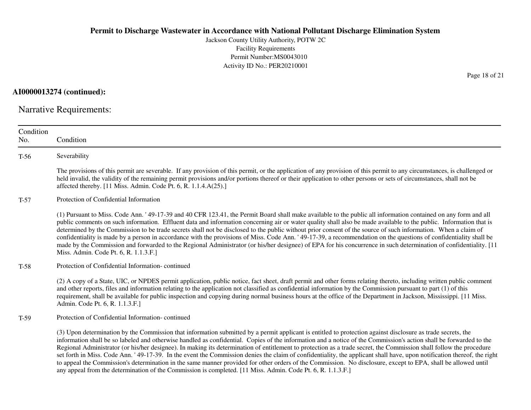Jackson County Utility Authority, POTW 2CFacility Requirements Permit Number:MS0043010Activity ID No.: PER20210001

**AI0000013274 (continued):**

Narrative Requirements:

| Condition<br>No. | Condition                                                                                                                                                                                                                                                                                                                                                                                                                                                                                                                                                                                                                                                                                                                                                                                                                                                                                                                                                            |
|------------------|----------------------------------------------------------------------------------------------------------------------------------------------------------------------------------------------------------------------------------------------------------------------------------------------------------------------------------------------------------------------------------------------------------------------------------------------------------------------------------------------------------------------------------------------------------------------------------------------------------------------------------------------------------------------------------------------------------------------------------------------------------------------------------------------------------------------------------------------------------------------------------------------------------------------------------------------------------------------|
| $T-56$           | Severability                                                                                                                                                                                                                                                                                                                                                                                                                                                                                                                                                                                                                                                                                                                                                                                                                                                                                                                                                         |
|                  | The provisions of this permit are severable. If any provision of this permit, or the application of any provision of this permit to any circumstances, is challenged or<br>held invalid, the validity of the remaining permit provisions and/or portions thereof or their application to other persons or sets of circumstances, shall not be<br>affected thereby. [11 Miss. Admin. Code Pt. 6, R. 1.1.4.A(25).]                                                                                                                                                                                                                                                                                                                                                                                                                                                                                                                                                     |
| $T-57$           | Protection of Confidential Information                                                                                                                                                                                                                                                                                                                                                                                                                                                                                                                                                                                                                                                                                                                                                                                                                                                                                                                               |
|                  | (1) Pursuant to Miss. Code Ann. '49-17-39 and 40 CFR 123.41, the Permit Board shall make available to the public all information contained on any form and all<br>public comments on such information. Effluent data and information concerning air or water quality shall also be made available to the public. Information that is<br>determined by the Commission to be trade secrets shall not be disclosed to the public without prior consent of the source of such information. When a claim of<br>confidentiality is made by a person in accordance with the provisions of Miss. Code Ann. '49-17-39, a recommendation on the questions of confidentiality shall be<br>made by the Commission and forwarded to the Regional Administrator (or his/her designee) of EPA for his concurrence in such determination of confidentiality. [11<br>Miss. Admin. Code Pt. 6, R. 1.1.3.F.                                                                             |
| $T-58$           | Protection of Confidential Information-continued                                                                                                                                                                                                                                                                                                                                                                                                                                                                                                                                                                                                                                                                                                                                                                                                                                                                                                                     |
|                  | (2) A copy of a State, UIC, or NPDES permit application, public notice, fact sheet, draft permit and other forms relating thereto, including written public comment<br>and other reports, files and information relating to the application not classified as confidential information by the Commission pursuant to part (1) of this<br>requirement, shall be available for public inspection and copying during normal business hours at the office of the Department in Jackson, Mississippi. [11 Miss.]<br>Admin. Code Pt. 6, R. 1.1.3.F.]                                                                                                                                                                                                                                                                                                                                                                                                                       |
| T-59             | Protection of Confidential Information-continued                                                                                                                                                                                                                                                                                                                                                                                                                                                                                                                                                                                                                                                                                                                                                                                                                                                                                                                     |
|                  | (3) Upon determination by the Commission that information submitted by a permit applicant is entitled to protection against disclosure as trade secrets, the<br>information shall be so labeled and otherwise handled as confidential. Copies of the information and a notice of the Commission's action shall be forwarded to the<br>Regional Administrator (or his/her designee). In making its determination of entitlement to protection as a trade secret, the Commission shall follow the procedure<br>set forth in Miss. Code Ann. '49-17-39. In the event the Commission denies the claim of confidentiality, the applicant shall have, upon notification thereof, the right<br>to appeal the Commission's determination in the same manner provided for other orders of the Commission. No disclosure, except to EPA, shall be allowed until<br>any appeal from the determination of the Commission is completed. [11 Miss. Admin. Code Pt. 6, R. 1.1.3.F.] |

Page 18 of 21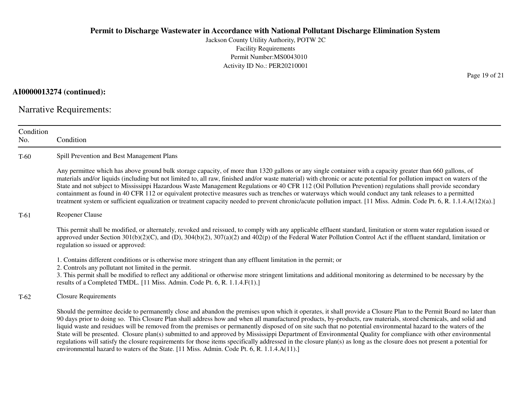Jackson County Utility Authority, POTW 2CFacility Requirements Permit Number:MS0043010Activity ID No.: PER20210001

**AI0000013274 (continued):**

Narrative Requirements:

ConditionNo. ConditionT-60 Spill Prevention and Best Management Plans Any permittee which has above ground bulk storage capacity, of more than 1320 gallons or any single container with a capacity greater than 660 gallons, of materials and/or liquids (including but not limited to, all raw, finished and/or waste material) with chronic or acute potential for pollution impact on waters of theState and not subject to Mississippi Hazardous Waste Management Regulations or 40 CFR 112 (Oil Pollution Prevention) regulations shall provide secondarycontainment as found in 40 CFR 112 or equivalent protective measures such as trenches or waterways which would conduct any tank releases to a permitted treatment system or sufficient equalization or treatment capacity needed to prevent chronic/acute pollution impact. [11 Miss. Admin. Code Pt. 6, R. 1.1.4.A(12)(a).]T-61 Reopener Clause This permit shall be modified, or alternately, revoked and reissued, to comply with any applicable effluent standard, limitation or storm water regulation issued orapproved under Section  $301(b)(2)(C)$ , and  $(D)$ ,  $304(b)(2)$ ,  $307(a)(2)$  and  $402(p)$  of the Federal Water Pollution Control Act if the effluent standard, limitation or regulation so issued or approved:1. Contains different conditions or is otherwise more stringent than any effluent limitation in the permit; or2. Controls any pollutant not limited in the permit. 3. This permit shall be modified to reflect any additional or otherwise more stringent limitations and additional monitoring as determined to be necessary by theresults of a Completed TMDL. [11 Miss. Admin. Code Pt. 6, R. 1.1.4.F(1).]T-62 Closure Requirements Should the permittee decide to permanently close and abandon the premises upon which it operates, it shall provide a Closure Plan to the Permit Board no later than90 days prior to doing so. This Closure Plan shall address how and when all manufactured products, by-products, raw materials, stored chemicals, and solid and liquid waste and residues will be removed from the premises or permanently disposed of on site such that no potential environmental hazard to the waters of the State will be presented. Closure plan(s) submitted to and approved by Mississippi Department of Environmental Quality for compliance with other environmentalregulations will satisfy the closure requirements for those items specifically addressed in the closure plan(s) as long as the closure does not present a potential forenvironmental hazard to waters of the State. [11 Miss. Admin. Code Pt. 6, R. 1.1.4.A(11).]

Page 19 of 21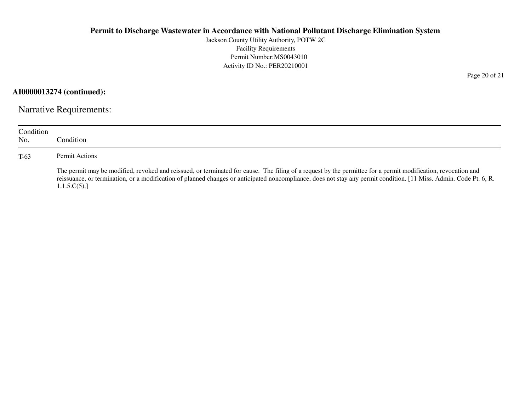Jackson County Utility Authority, POTW 2CFacility Requirements Permit Number:MS0043010Activity ID No.: PER20210001

**AI0000013274 (continued):**

Narrative Requirements:

| Condition<br>No. | Condition:                                                                                                                                                                                                                                                                                                                                         |
|------------------|----------------------------------------------------------------------------------------------------------------------------------------------------------------------------------------------------------------------------------------------------------------------------------------------------------------------------------------------------|
| $T-63$           | Permit Actions                                                                                                                                                                                                                                                                                                                                     |
|                  | The permit may be modified, revoked and reissued, or terminated for cause. The filing of a request by the permittee for a permit modification, revocation and<br>reissuance, or termination, or a modification of planned changes or anticipated noncompliance, does not stay any permit condition. [11 Miss. Admin. Code Pt. 6, R.<br>1.1.5.C(5). |

Page 20 of 21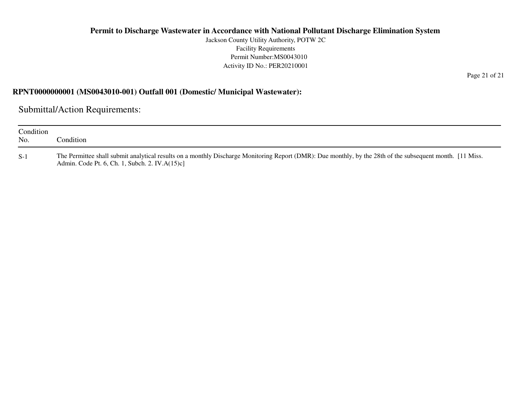Jackson County Utility Authority, POTW 2CFacility Requirements Permit Number:MS0043010Activity ID No.: PER20210001

#### **RPNT0000000001 (MS0043010-001) Outfall 001 (Domestic/ Municipal Wastewater):**

Submittal/Action Requirements:

| Condition<br>No. | Condition:                                                                                                                                                                                                   |
|------------------|--------------------------------------------------------------------------------------------------------------------------------------------------------------------------------------------------------------|
| $S-1$            | The Permittee shall submit analytical results on a monthly Discharge Monitoring Report (DMR): Due monthly, by the 28th of the subsequent month. [11 Miss.]<br>Admin. Code Pt. 6, Ch. 1, Subch. 2. IV.A(15)c] |

Page 21 of 21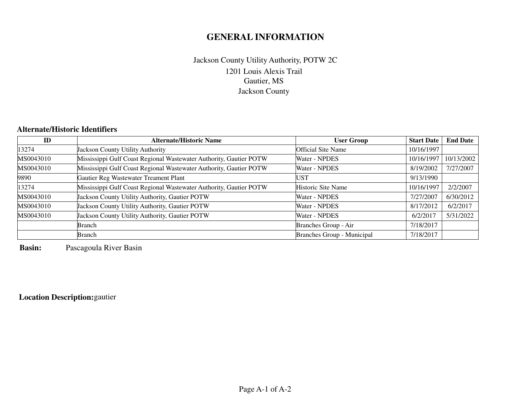# **GENERAL INFORMATION**

## 1201 Louis Alexis TrailGautier, MS Jackson CountyJackson County Utility Authority, POTW 2C

## **Alternate/Historic Identifiers**

| ID        | <b>Alternate/Historic Name</b>                                     | <b>User Group</b>          | <b>Start Date</b> | <b>End Date</b> |
|-----------|--------------------------------------------------------------------|----------------------------|-------------------|-----------------|
| 13274     | <b>Jackson County Utility Authority</b>                            | <b>Official Site Name</b>  | 10/16/1997        |                 |
| MS0043010 | Mississippi Gulf Coast Regional Wastewater Authority, Gautier POTW | <b>Water - NPDES</b>       | 10/16/1997        | 10/13/2002      |
| MS0043010 | Mississippi Gulf Coast Regional Wastewater Authority, Gautier POTW | Water - NPDES              | 8/19/2002         | 7/27/2007       |
| 9890      | Gautier Reg Wastewater Treament Plant                              | UST                        | 9/13/1990         |                 |
| 13274     | Mississippi Gulf Coast Regional Wastewater Authority, Gautier POTW | Historic Site Name         | 10/16/1997        | 2/2/2007        |
| MS0043010 | Jackson County Utility Authority, Gautier POTW                     | Water - NPDES              | 7/27/2007         | 6/30/2012       |
| MS0043010 | Jackson County Utility Authority, Gautier POTW                     | Water - NPDES              | 8/17/2012         | 6/2/2017        |
| MS0043010 | Jackson County Utility Authority, Gautier POTW                     | Water - NPDES              | 6/2/2017          | 5/31/2022       |
|           | Branch                                                             | Branches Group - Air       | 7/18/2017         |                 |
|           | <b>Branch</b>                                                      | Branches Group - Municipal | 7/18/2017         |                 |

**Basin:**Pascagoula River Basin

## **Location Description:**gautier